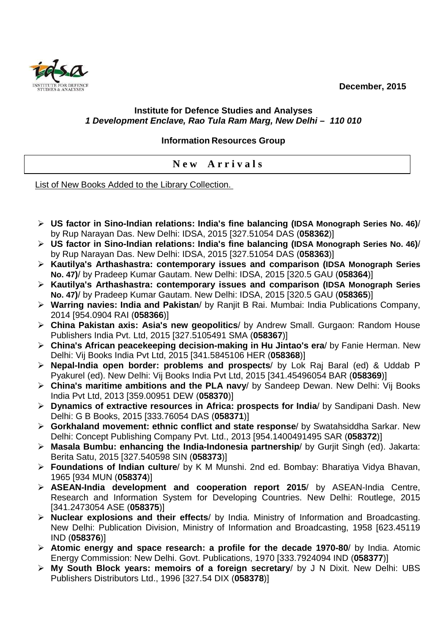**December, 2015** 



## **Institute for Defence Studies and Analyses 1 Development Enclave, Rao Tula Ram Marg, New Delhi – 110 010**

## **Information Resources Group**

**N e w A r r i v a l s** 

List of New Books Added to the Library Collection.

- **US factor in Sino-Indian relations: India's fine balancing (IDSA Monograph Series No. 46)**/ by Rup Narayan Das. New Delhi: IDSA, 2015 [327.51054 DAS (**058362**)]
- **US factor in Sino-Indian relations: India's fine balancing (IDSA Monograph Series No. 46)**/ by Rup Narayan Das. New Delhi: IDSA, 2015 [327.51054 DAS (**058363**)]
- **Kautilya's Arthashastra: contemporary issues and comparison (IDSA Monograph Series No. 47)**/ by Pradeep Kumar Gautam. New Delhi: IDSA, 2015 [320.5 GAU (**058364**)]
- **Kautilya's Arthashastra: contemporary issues and comparison (IDSA Monograph Series No. 47)**/ by Pradeep Kumar Gautam. New Delhi: IDSA, 2015 [320.5 GAU (**058365**)]
- **Warring navies: India and Pakistan**/ by Ranjit B Rai. Mumbai: India Publications Company, 2014 [954.0904 RAI (**058366**)]
- **China Pakistan axis: Asia's new geopolitics**/ by Andrew Small. Gurgaon: Random House Publishers India Pvt. Ltd, 2015 [327.5105491 SMA (**058367**)]
- **China's African peacekeeping decision-making in Hu Jintao's era**/ by Fanie Herman. New Delhi: Vij Books India Pvt Ltd, 2015 [341.5845106 HER (**058368**)]
- **Nepal-India open border: problems and prospects**/ by Lok Raj Baral (ed) & Uddab P Pyakurel (ed). New Delhi: Vij Books India Pvt Ltd, 2015 [341.45496054 BAR (**058369**)]
- **China's maritime ambitions and the PLA navy**/ by Sandeep Dewan. New Delhi: Vij Books India Pvt Ltd, 2013 [359.00951 DEW (**058370**)]
- **Dynamics of extractive resources in Africa: prospects for India**/ by Sandipani Dash. New Delhi: G B Books, 2015 [333.76054 DAS (**058371**)]
- **Gorkhaland movement: ethnic conflict and state response**/ by Swatahsiddha Sarkar. New Delhi: Concept Publishing Company Pvt. Ltd., 2013 [954.1400491495 SAR (**058372**)]
- **Masala Bumbu: enhancing the India-Indonesia partnership**/ by Gurjit Singh (ed). Jakarta: Berita Satu, 2015 [327.540598 SIN (**058373**)]
- **Foundations of Indian culture**/ by K M Munshi. 2nd ed. Bombay: Bharatiya Vidya Bhavan, 1965 [934 MUN (**058374**)]
- **ASEAN-India development and cooperation report 2015**/ by ASEAN-India Centre, Research and Information System for Developing Countries. New Delhi: Routlege, 2015 [341.2473054 ASE (**058375**)]
- **Nuclear explosions and their effects**/ by India. Ministry of Information and Broadcasting. New Delhi: Publication Division, Ministry of Information and Broadcasting, 1958 [623.45119 IND (**058376**)]
- **Atomic energy and space research: a profile for the decade 1970-80**/ by India. Atomic Energy Commission: New Delhi. Govt. Publications, 1970 [333.7924094 IND (**058377**)]
- **My South Block years: memoirs of a foreign secretary**/ by J N Dixit. New Delhi: UBS Publishers Distributors Ltd., 1996 [327.54 DIX (**058378**)]